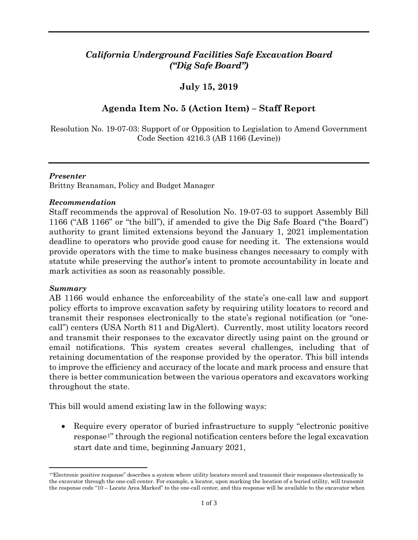# *California Underground Facilities Safe Excavation Board ("Dig Safe Board")*

## **July 15, 2019**

# **Agenda Item No. 5 (Action Item) – Staff Report**

Resolution No. 19-07-03: Support of or Opposition to Legislation to Amend Government Code Section 4216.3 (AB 1166 (Levine))

### *Presenter*

Brittny Branaman, Policy and Budget Manager

## *Recommendation*

Staff recommends the approval of Resolution No. 19-07-03 to support Assembly Bill 1166 ("AB 1166" or "the bill"), if amended to give the Dig Safe Board ("the Board") authority to grant limited extensions beyond the January 1, 2021 implementation deadline to operators who provide good cause for needing it. The extensions would provide operators with the time to make business changes necessary to comply with statute while preserving the author's intent to promote accountability in locate and mark activities as soon as reasonably possible.

## *Summary*

AB 1166 would enhance the enforceability of the state's one-call law and support policy efforts to improve excavation safety by requiring utility locators to record and transmit their responses electronically to the state's regional notification (or "onecall") centers (USA North 811 and DigAlert). Currently, most utility locators record and transmit their responses to the excavator directly using paint on the ground or email notifications. This system creates several challenges, including that of retaining documentation of the response provided by the operator. This bill intends to improve the efficiency and accuracy of the locate and mark process and ensure that there is better communication between the various operators and excavators working throughout the state.

This bill would amend existing law in the following ways:

• Require every operator of buried infrastructure to supply "electronic positive response[1"](#page-0-0) through the regional notification centers before the legal excavation start date and time, beginning January 2021,

<span id="page-0-0"></span><sup>1&</sup>quot;Electronic positive response" describes a system where utility locators record and transmit their responses electronically to the excavator through the one-call center. For example, a locator, upon marking the location of a buried utility, will transmit the response code "10 – Locate Area Marked" to the one-call center, and this response will be available to the excavator when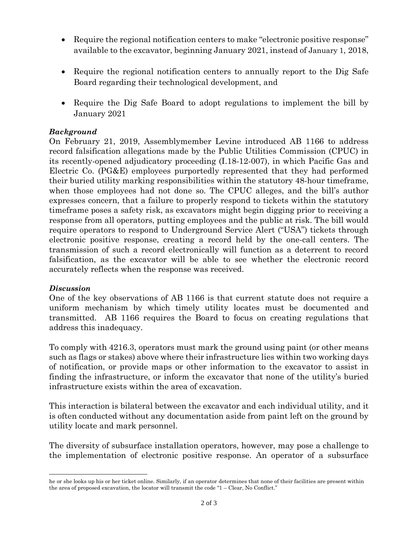- Require the regional notification centers to make "electronic positive response" available to the excavator, beginning January 2021, instead of January 1, 2018,
- Require the regional notification centers to annually report to the Dig Safe Board regarding their technological development, and
- Require the Dig Safe Board to adopt regulations to implement the bill by January 2021

## *Background*

On February 21, 2019, Assemblymember Levine introduced AB 1166 to address record falsification allegations made by the Public Utilities Commission (CPUC) in its recently-opened adjudicatory proceeding (I.18-12-007), in which Pacific Gas and Electric Co. (PG&E) employees purportedly represented that they had performed their buried utility marking responsibilities within the statutory 48-hour timeframe, when those employees had not done so. The CPUC alleges, and the bill's author expresses concern, that a failure to properly respond to tickets within the statutory timeframe poses a safety risk, as excavators might begin digging prior to receiving a response from all operators, putting employees and the public at risk. The bill would require operators to respond to Underground Service Alert ("USA") tickets through electronic positive response, creating a record held by the one-call centers. The transmission of such a record electronically will function as a deterrent to record falsification, as the excavator will be able to see whether the electronic record accurately reflects when the response was received.

## *Discussion*

One of the key observations of AB 1166 is that current statute does not require a uniform mechanism by which timely utility locates must be documented and transmitted. AB 1166 requires the Board to focus on creating regulations that address this inadequacy.

To comply with 4216.3, operators must mark the ground using paint (or other means such as flags or stakes) above where their infrastructure lies within two working days of notification, or provide maps or other information to the excavator to assist in finding the infrastructure, or inform the excavator that none of the utility's buried infrastructure exists within the area of excavation.

This interaction is bilateral between the excavator and each individual utility, and it is often conducted without any documentation aside from paint left on the ground by utility locate and mark personnel.

The diversity of subsurface installation operators, however, may pose a challenge to the implementation of electronic positive response. An operator of a subsurface

he or she looks up his or her ticket online. Similarly, if an operator determines that none of their facilities are present within the area of proposed excavation, the locator will transmit the code "1 – Clear, No Conflict."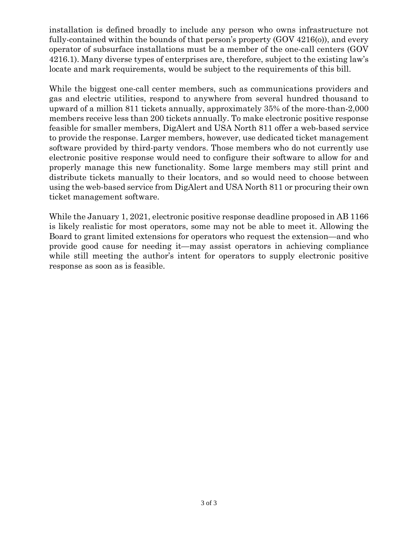installation is defined broadly to include any person who owns infrastructure not fully-contained within the bounds of that person's property (GOV 4216(o)), and every operator of subsurface installations must be a member of the one-call centers (GOV 4216.1). Many diverse types of enterprises are, therefore, subject to the existing law's locate and mark requirements, would be subject to the requirements of this bill.

While the biggest one-call center members, such as communications providers and gas and electric utilities, respond to anywhere from several hundred thousand to upward of a million 811 tickets annually, approximately 35% of the more-than-2,000 members receive less than 200 tickets annually. To make electronic positive response feasible for smaller members, DigAlert and USA North 811 offer a web-based service to provide the response. Larger members, however, use dedicated ticket management software provided by third-party vendors. Those members who do not currently use electronic positive response would need to configure their software to allow for and properly manage this new functionality. Some large members may still print and distribute tickets manually to their locators, and so would need to choose between using the web-based service from DigAlert and USA North 811 or procuring their own ticket management software.

While the January 1, 2021, electronic positive response deadline proposed in AB 1166 is likely realistic for most operators, some may not be able to meet it. Allowing the Board to grant limited extensions for operators who request the extension—and who provide good cause for needing it—may assist operators in achieving compliance while still meeting the author's intent for operators to supply electronic positive response as soon as is feasible.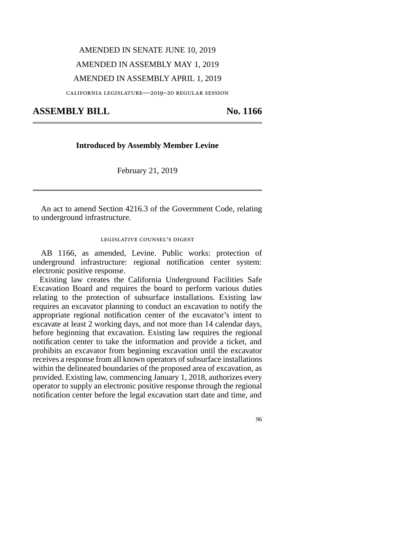# AMENDED IN SENATE JUNE 10, 2019 AMENDED IN ASSEMBLY MAY 1, 2019

### AMENDED IN ASSEMBLY APRIL 1, 2019

california legislature—2019–20 regular session

## **ASSEMBLY BILL No. 1166**

### **Introduced by Assembly Member Levine**

February 21, 2019

An act to amend Section 4216.3 of the Government Code, relating to underground infrastructure.

#### legislative counsel's digest

AB 1166, as amended, Levine. Public works: protection of underground infrastructure: regional notifcation center system: electronic positive response.

Existing law creates the California Underground Facilities Safe Excavation Board and requires the board to perform various duties relating to the protection of subsurface installations. Existing law requires an excavator planning to conduct an excavation to notify the appropriate regional notifcation center of the excavator's intent to excavate at least 2 working days, and not more than 14 calendar days, before beginning that excavation. Existing law requires the regional notifcation center to take the information and provide a ticket, and prohibits an excavator from beginning excavation until the excavator receives a response from all known operators of subsurface installations within the delineated boundaries of the proposed area of excavation, as provided. Existing law, commencing January 1, 2018, authorizes every operator to supply an electronic positive response through the regional notifcation center before the legal excavation start date and time, and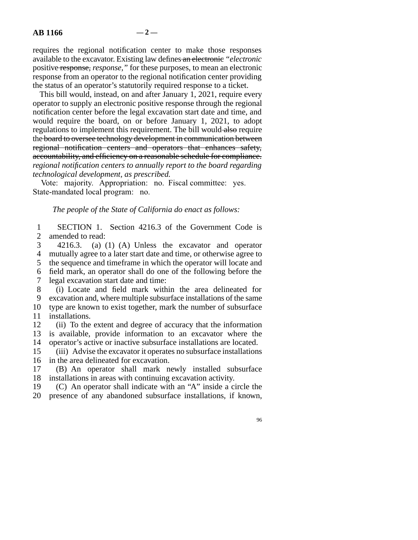requires the regional notifcation center to make those responses available to the excavator. Existing law defnes an electronic *"electronic*  positive response, *response,"* for these purposes, to mean an electronic response from an operator to the regional notifcation center providing the status of an operator's statutorily required response to a ticket.

This bill would, instead, on and after January 1, 2021, require every operator to supply an electronic positive response through the regional notifcation center before the legal excavation start date and time, and would require the board, on or before January 1, 2021, to adopt regulations to implement this requirement. The bill would also require the board to oversee technology development in communication between regional notification centers and operators that enhances safety, accountability, and efficiency on a reasonable schedule for compliance. *regional notifcation centers to annually report to the board regarding technological development, as prescribed.* 

 Vote: majority. Appropriation: no. Fiscal committee: yes. State-mandated local program: no.

*The people of the State of California do enact as follows:* 

1 SECTION 1. Section 4216.3 of the Government Code is 2 amended to read: 2 amended to read:<br>3  $4216.3$  (a)

4216.3. (a)  $(1)$   $(A)$  Unless the excavator and operator 4 mutually agree to a later start date and time, or otherwise agree to 5 the sequence and time frame in which the operator will locate and the sequence and timeframe in which the operator will locate and 6 feld mark, an operator shall do one of the following before the 7 legal excavation start date and time:

e 8 (i) Locate and feld mark within the area delineated for 9 excavation and, where multiple subsurface installations of the same 10 type are known to exist together, mark the number of subsurface 11 installations.

12 (ii) To the extent and degree of accuracy that the information 13 is available, provide information to an excavator where the 14 operator's active or inactive subsurface installations are located.

15 (iii) Advise the excavator it operates no subsurface installations 16 in the area delineated for excavation.

17 (B) An operator shall mark newly installed subsurface 18 installations in areas with continuing excavation activity.

19 (C) An operator shall indicate with an "A" inside a circle the 20 presence of any abandoned subsurface installations, if known,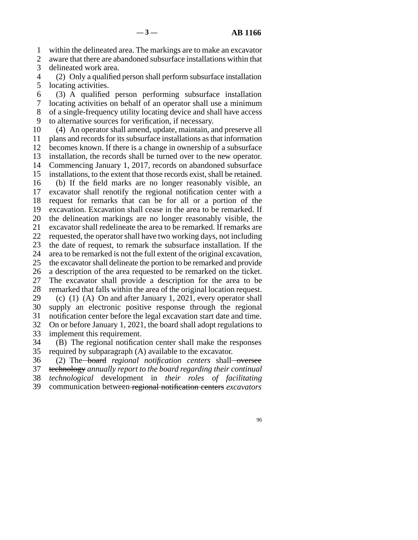e 1 within the delineated area. The markings are to make an excavator

2 aware that there are abandoned subsurface installations within that<br>3 delineated work area. delineated work area.

e 4 (2) Only a qualifed person shall perform subsurface installation 5 locating activities.

6 (3) A qualified person performing subsurface installation e 7 locating activities on behalf of an operator shall use a minimum e 8 of a single-frequency utility locating device and shall have access e 9 to alternative sources for verifcation, if necessary.

25 the excavator shall delineate the portion to be remarked and provide 26 a description of the area requested to be remarked on the ticket. e 27 The excavator shall provide a description for the area to be 28 remarked that falls within the area of the original location request. 29 (c)  $(1)$   $(A)$  On and after January 1, 2021, every operator shall 30 supply an electronic positive response through the regional 31 notification center before the legal excavation start date and time. e 32 On or before January 1, 2021, the board shall adopt regulations to 33 implement this requirement. 10 (4) An operator shall amend, update, maintain, and preserve all 11 plans and records for its subsurface installations as that information 12 becomes known. If there is a change in ownership of a subsurface 13 installation, the records shall be turned over to the new operator. 14 Commencing January 1, 2017, records on abandoned subsurface 15 installations, to the extent that those records exist, shall be retained. 16 (b) If the feld marks are no longer reasonably visible, an 17 excavator shall renotify the regional notifcation center with a 18 request for remarks that can be for all or a portion of the 19 excavation. Excavation shall cease in the area to be remarked. If 20 the delineation markings are no longer reasonably visible, the 21 excavator shall redelineate the area to be remarked. If remarks are 22 requested, the operator shall have two working days, not including 23 the date of request, to remark the subsurface installation. If the 24 area to be remarked is not the full extent of the original excavation,

e 34 (B) The regional notifcation center shall make the responses 35 required by subparagraph  $(A)$  available to the excavator.

36 (2) The board *regional notification centers* shall oversee e 37 technology *annually report to the board regarding their continual*  ine 38 *technological* development in *their roles of facilitating* 

e 39 communication between regional notifcation centers *excavators*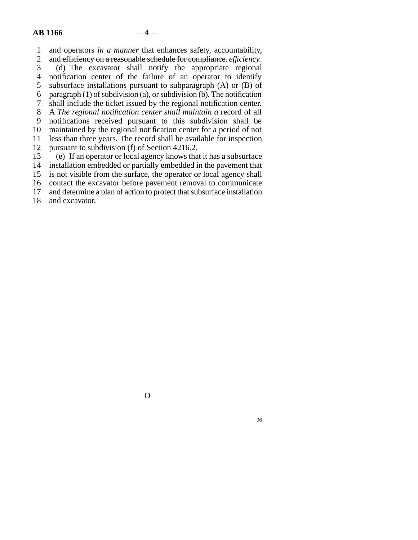line 1 and operators *in a manner* that enhances safety, accountability, 2 and efficiency on a reasonable schedule for compliance. *efficiency*.<br>
3 (d) The excavator shall notify the appropriate regional (d) The excavator shall notify the appropriate regional 4 notification center of the failure of an operator to identify 5 subsurface installations pursuant to subparagraph  $(A)$  or  $(B)$  of 6 paragraph (1) of subdivision (a), or subdivision (b). The notification 7 shall include the ticket issued by the regional notification center. 8 A *The regional notification center shall maintain a* record of all 9 notifications received pursuant to this subdivision shall be 10 maintained by the regional notification center for a period of not 11 less than three years. The record shall be available for inspection 12 pursuant to subdivision (f) of Section 4216.2. 13 (e) If an operator or local agency knows that it has a subsurface 14 installation embedded or partially embedded in the pavement that

15 is not visible from the surface, the operator or local agency shall

16 contact the excavator before pavement removal to communicate

17 and determine a plan of action to protect that subsurface installation

18 and excavator.